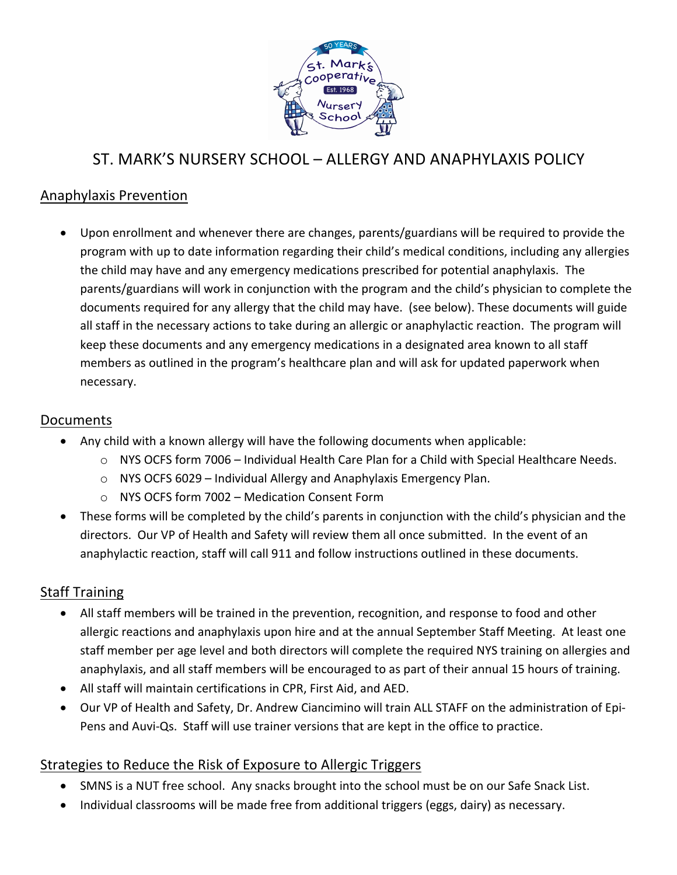

# ST. MARK'S NURSERY SCHOOL – ALLERGY AND ANAPHYLAXIS POLICY

## Anaphylaxis Prevention

• Upon enrollment and whenever there are changes, parents/guardians will be required to provide the program with up to date information regarding their child's medical conditions, including any allergies the child may have and any emergency medications prescribed for potential anaphylaxis. The parents/guardians will work in conjunction with the program and the child's physician to complete the documents required for any allergy that the child may have. (see below). These documents will guide all staff in the necessary actions to take during an allergic or anaphylactic reaction. The program will keep these documents and any emergency medications in a designated area known to all staff members as outlined in the program's healthcare plan and will ask for updated paperwork when necessary. 

#### Documents

- Any child with a known allergy will have the following documents when applicable:
	- $\circ$  NYS OCFS form 7006 Individual Health Care Plan for a Child with Special Healthcare Needs.
	- $\circ$  NYS OCFS 6029 Individual Allergy and Anaphylaxis Emergency Plan.
	- o NYS OCFS form 7002 Medication Consent Form
- These forms will be completed by the child's parents in conjunction with the child's physician and the directors. Our VP of Health and Safety will review them all once submitted. In the event of an anaphylactic reaction, staff will call 911 and follow instructions outlined in these documents.

# **Staff Training**

- All staff members will be trained in the prevention, recognition, and response to food and other allergic reactions and anaphylaxis upon hire and at the annual September Staff Meeting. At least one staff member per age level and both directors will complete the required NYS training on allergies and anaphylaxis, and all staff members will be encouraged to as part of their annual 15 hours of training.
- All staff will maintain certifications in CPR, First Aid, and AED.
- Our VP of Health and Safety, Dr. Andrew Ciancimino will train ALL STAFF on the administration of Epi-Pens and Auvi-Qs. Staff will use trainer versions that are kept in the office to practice.

# Strategies to Reduce the Risk of Exposure to Allergic Triggers

- SMNS is a NUT free school. Any snacks brought into the school must be on our Safe Snack List.
- Individual classrooms will be made free from additional triggers (eggs, dairy) as necessary.